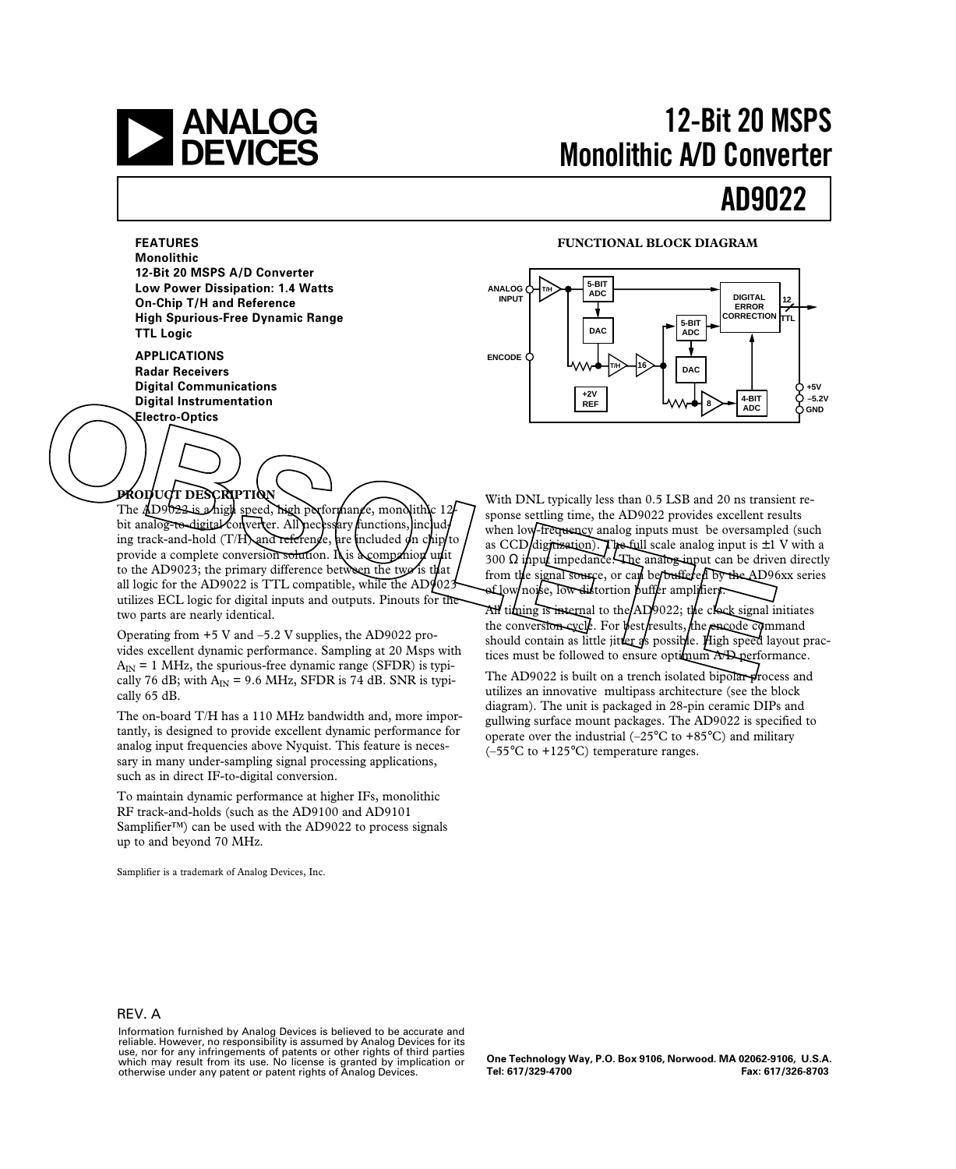

# **12-Bit 20 MSPS Monolithic A/D Converter**

# **AD9022**

**FEATURES Monolithic 12-Bit 20 MSPS A/D Converter Low Power Dissipation: 1.4 Watts On-Chip T/H and Reference High Spurious-Free Dynamic Range TTL Logic**

**APPLICATIONS Radar Receivers Digital Communications Digital Instrumentation**

#### **FUNCTIONAL BLOCK DIAGRAM**



### **PRODUCT DESCRIPTION**

The AD9022 is a high speed, high performance, monolithic 12bit analog-to-digital converter. All necessary functions, including track-and-hold  $(T/H)$  and reference, are included on chip/to provide a complete conversion solution. It is a companion unit to the AD9023; the primary difference between the two'is that all logic for the AD9022 is TTL compatible, while the AD9023 utilizes ECL logic for digital inputs and outputs. Pinouts for the two parts are nearly identical. **Electro-Optics**<br> **Electro-Optics**<br> **Electro-Optics**<br>
The *EDSORATEDRA*<br>
The *ELECTROPHICAL*<br>
The *ELECTROPHICAL*<br>
The *ELECTROPHICAL*<br>
The *ELECTROPHICAL*<br>
The *ELECTROPHICAL*<br>
Signals and *COD* and *COD* and *COD* and

Operating from +5 V and –5.2 V supplies, the AD9022 provides excellent dynamic performance. Sampling at 20 Msps with  $A_{IN} = 1$  MHz, the spurious-free dynamic range (SFDR) is typically 76 dB; with  $A_{IN} = 9.6$  MHz, SFDR is 74 dB. SNR is typically 65 dB.

The on-board T/H has a 110 MHz bandwidth and, more importantly, is designed to provide excellent dynamic performance for analog input frequencies above Nyquist. This feature is necessary in many under-sampling signal processing applications, such as in direct IF-to-digital conversion.

To maintain dynamic performance at higher IFs, monolithic RF track-and-holds (such as the AD9100 and AD9101 Samplifier*™*) can be used with the AD9022 to process signals up to and beyond 70 MHz.

Samplifier is a trademark of Analog Devices, Inc.

With DNL typically less than 0.5 LSB and 20 ns transient response settling time, the AD9022 provides excellent results when low-frequency analog inputs must be oversampled (such as CCD digitization). The full scale analog input is  $\pm 1$  V with a 300  $\Omega$  input impedance. The analog imput can be driven directly from the signal source, or can be buffered by the AD96xx series of low/noise, low distortion buffer amplifiers

All timing is internal to the  $AD9022$ ; the clock signal initiates the conversion cycle. For best results, the eneede command should contain as little jitter  $s$  possible. High speed layout practices must be followed to ensure optimum A/D performance.

The AD9022 is built on a trench isolated bipolar- $\phi$  rocess and utilizes an innovative multipass architecture (see the block diagram). The unit is packaged in 28-pin ceramic DIPs and gullwing surface mount packages. The AD9022 is specified to operate over the industrial  $(-25^{\circ}C \text{ to } +85^{\circ}C)$  and military  $(-55^{\circ}$ C to  $+125^{\circ}$ C) temperature ranges.

#### REV. A

**One Technology Way, P.O. Box 9106, Norwood. MA 02062-9106, U.S.A. Tel: 617/329-4700 Fax: 617/326-8703**

Information furnished by Analog Devices is believed to be accurate and reliable. However, no responsibility is assumed by Analog Devices for its use, nor for any infringements of patents or other rights of third parties which may result from its use. No license is granted by implication or otherwise under any patent or patent rights of Analog Devices.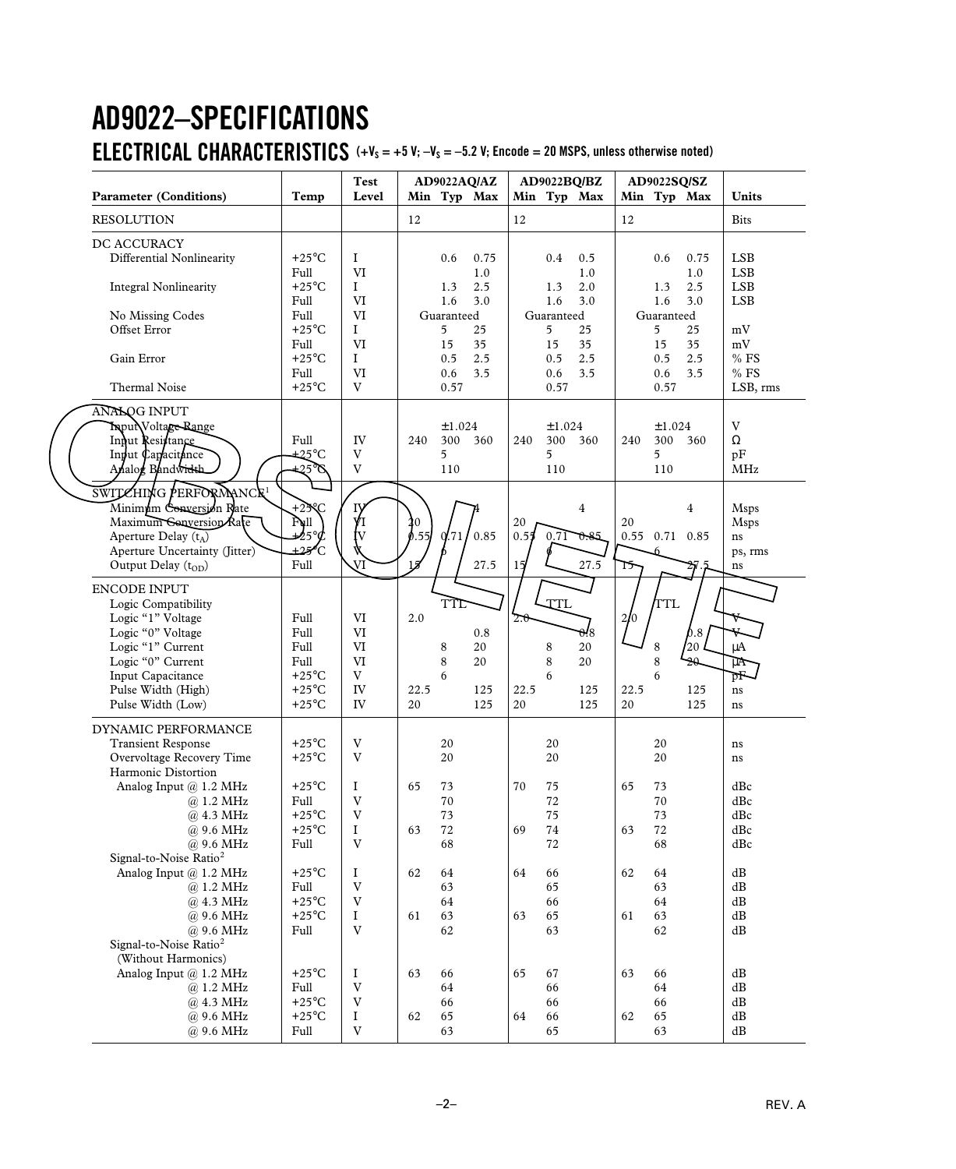# **AD9022–SPECIFICATIONS ELECTRICAL CHARACTERISTICS**  $(+V_s = +5 V; -V_s = -5.2 V;$  Encode = 20 MSPS, unless otherwise noted)

| <b>Parameter (Conditions)</b>                                                                                                                                                                                            | Temp                                                                                                                                | <b>Test</b><br>Level                                                                                     |                   |                                                                  | AD9022AQ/AZ<br>Min Typ Max                          |                   |                                                                  | AD9022BQ/BZ<br>Min Typ Max                         |                   | AD9022SQ/SZ                                                      | Min Typ Max                                         | <b>Units</b>                                                                                            |
|--------------------------------------------------------------------------------------------------------------------------------------------------------------------------------------------------------------------------|-------------------------------------------------------------------------------------------------------------------------------------|----------------------------------------------------------------------------------------------------------|-------------------|------------------------------------------------------------------|-----------------------------------------------------|-------------------|------------------------------------------------------------------|----------------------------------------------------|-------------------|------------------------------------------------------------------|-----------------------------------------------------|---------------------------------------------------------------------------------------------------------|
| <b>RESOLUTION</b>                                                                                                                                                                                                        |                                                                                                                                     |                                                                                                          | 12                |                                                                  |                                                     | 12                |                                                                  |                                                    | 12                |                                                                  |                                                     | <b>Bits</b>                                                                                             |
| DC ACCURACY<br>Differential Nonlinearity<br><b>Integral Nonlinearity</b><br>No Missing Codes<br>Offset Error<br>Gain Error<br>Thermal Noise                                                                              | $+25^{\circ}$ C<br>Full<br>$+25^{\circ}$ C<br>Full<br>Full<br>$+25^{\circ}$ C<br>Full<br>$+25^{\circ}$ C<br>Full<br>$+25^{\circ}$ C | $\bf{I}$<br><b>VI</b><br>$\mathbf I$<br><b>VI</b><br>VI<br>$\mathbf{I}$<br>VI<br>$\mathbf{I}$<br>VI<br>V |                   | 0.6<br>1.3<br>1.6<br>Guaranteed<br>5<br>15<br>0.5<br>0.6<br>0.57 | 0.75<br>1.0<br>2.5<br>3.0<br>25<br>35<br>2.5<br>3.5 |                   | 0.4<br>1.3<br>1.6<br>Guaranteed<br>5<br>15<br>0.5<br>0.6<br>0.57 | 0.5<br>1.0<br>2.0<br>3.0<br>25<br>35<br>2.5<br>3.5 |                   | 0.6<br>1.3<br>1.6<br>Guaranteed<br>5<br>15<br>0.5<br>0.6<br>0.57 | 0.75<br>1.0<br>2.5<br>3.0<br>25<br>35<br>2.5<br>3.5 | <b>LSB</b><br><b>LSB</b><br><b>LSB</b><br><b>LSB</b><br>mV<br>$\rm mV$<br>$%$ FS<br>$\%$ FS<br>LSB, rms |
| ANALOG INPUT<br>Input Voltage Range<br>Input Resistance<br>Input Capacitance<br>Analog Bandwidth                                                                                                                         | Full<br>725.C<br>$-25^\circ$                                                                                                        | IV<br>V<br>V                                                                                             | 240               | ±1.024<br>300<br>5<br>110                                        | 360                                                 | 240               | ±1.024<br>5<br>110                                               | 300 360                                            | 240               | ±1.024<br>300 360<br>5<br>110                                    |                                                     | $\ensuremath{\text{V}}$<br>$\Omega$<br>pF<br>MHz                                                        |
| SWITZHING PERFORMANCE<br>Minimum Conversion Rate<br>Maximum Conversion Rate<br>Aperture Delay $(t_A)$<br>Aperture Uncertainty (Jitter)<br>Output Delay (t <sub>OD</sub> )                                                | +25 $\infty$<br>Full<br>$4$ 5° $\phi$<br>±25 C<br>Full                                                                              | V<br>VI                                                                                                  | l0<br>.55<br>15   | 0/71                                                             | 0.85<br>27.5                                        | 20<br>0.55<br>15  | 0.71                                                             | 4<br>0.85<br>27.5                                  | 20<br>0.55<br>15  | 0.71                                                             | 4<br>0.85                                           | <b>Msps</b><br><b>Msps</b><br>ns<br>ps, rms<br>ns                                                       |
| <b>ENCODE INPUT</b><br>Logic Compatibility<br>Logic "1" Voltage<br>Logic "0" Voltage<br>Logic "1" Current<br>Logic "0" Current<br>Input Capacitance<br>Pulse Width (High)<br>Pulse Width (Low)                           | Full<br>Full<br>Full<br>Full<br>$+25^{\circ}$ C<br>$+25^{\circ}$ C<br>$+25^{\circ}$ C                                               | VI<br>VI<br>VI<br>VI<br>V<br>IV<br>IV                                                                    | 2.0<br>22.5<br>20 | TTL<br>8<br>8<br>6                                               | 0.8<br>20<br>20<br>125<br>125                       | 2.0<br>22.5<br>20 | TIL<br>8<br>$\,8\,$<br>6                                         | 0.8<br>20<br>20<br>125<br>125                      | 2/0<br>22.5<br>20 | TTL<br>$\,8\,$<br>8<br>6                                         | $\phi$ .8<br>/20<br>9Ω<br>125<br>125                | V<br>$\mu A$<br>$\mu$ A<br>$\overline{\text{pF}}$<br>ns<br>ns                                           |
| DYNAMIC PERFORMANCE<br><b>Transient Response</b><br>Overvoltage Recovery Time<br>Harmonic Distortion<br>Analog Input @ 1.2 MHz<br>@ 1.2 MHz<br>@ 4.3 MHz<br>@ 9.6 MHz<br>@ 9.6 MHz<br>Signal-to-Noise Ratio <sup>2</sup> | $+25^{\circ}$ C<br>$+25^{\circ}$ C<br>$+25^{\circ}\mathrm{C}$<br>Full<br>$+25^{\circ}$ C<br>$+25^{\circ}$ C<br>Full                 | V<br>V<br>I<br>$\mathbf V$<br>V<br>$\bf{I}$<br>V                                                         | 65<br>63          | 20<br>20<br>73<br>$70\,$<br>73<br>$72\,$<br>68                   |                                                     | 70<br>69          | 20<br>20<br>75<br>72<br>75<br>$74\,$<br>72                       |                                                    | 65<br>63          | 20<br>20<br>73<br>70<br>73<br>72<br>68                           |                                                     | ns<br>ns<br>dBc<br>$\mathrm{dBc}$<br>$\mathrm{dBc}$<br>dBc<br>$\mathrm{dBc}$                            |
| Analog Input @ 1.2 MHz<br>@ 1.2 MHz<br>@ 4.3 MHz<br>@ 9.6 MHz<br>@ 9.6 MHz<br>Signal-to-Noise Ratio <sup>2</sup>                                                                                                         | $+25^{\circ}$ C<br>Full<br>$+25^{\circ}$ C<br>$+25^{\circ}$ C<br>Full                                                               | $\rm I$<br>V<br>V<br>$\bf{I}$<br>V                                                                       | 62<br>61          | 64<br>63<br>64<br>63<br>62                                       |                                                     | 64<br>63          | 66<br>65<br>66<br>65<br>63                                       |                                                    | 62<br>61          | 64<br>63<br>64<br>63<br>62                                       |                                                     | $\mathrm{dB}$<br>dB<br>$\mathrm{dB}$<br>$\mathrm{dB}$<br>$\mathrm{dB}$                                  |
| (Without Harmonics)<br>Analog Input @ 1.2 MHz<br>@ 1.2 MHz<br>@ 4.3 MHz<br>@ 9.6 MHz<br>@ 9.6 MHz                                                                                                                        | $+25^{\circ}$ C<br>Full<br>$+25^{\circ}$ C<br>$+25^{\circ}$ C<br>Full                                                               | $\bf{I}$<br>$\mathbf V$<br>V<br>$\rm I$<br>V                                                             | 63<br>62          | 66<br>64<br>66<br>65<br>63                                       |                                                     | 65<br>64          | 67<br>66<br>66<br>66<br>65                                       |                                                    | 63<br>62          | 66<br>64<br>66<br>65<br>63                                       |                                                     | dB<br>dB<br>dB<br>$\mathrm{dB}$<br>$\mathrm{dB}$                                                        |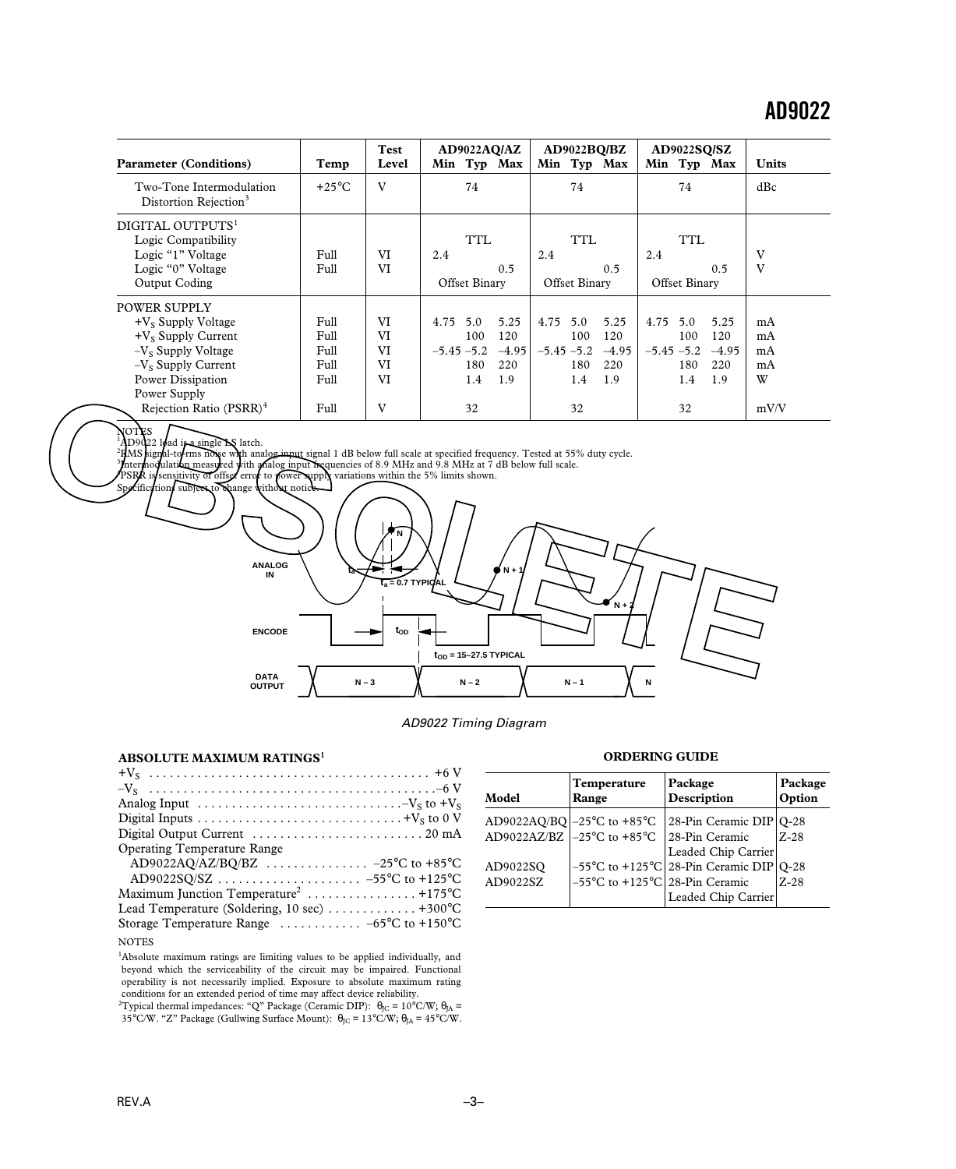|                                                               |                 | Test  | AD9022AQ/AZ              | AD9022BQ/BZ              | <b>AD9022SQ/SZ</b>       |              |
|---------------------------------------------------------------|-----------------|-------|--------------------------|--------------------------|--------------------------|--------------|
| <b>Parameter (Conditions)</b>                                 | Temp            | Level | Min Typ Max              | Min Typ Max              | Min Typ Max              | <b>Units</b> |
| Two-Tone Intermodulation<br>Distortion Rejection <sup>3</sup> | $+25^{\circ}$ C | V     | 74                       | 74                       | 74                       | dBc          |
| DIGITAL OUTPUTS <sup>1</sup><br>Logic Compatibility           |                 |       | <b>TTL</b>               | TTL                      | <b>TTL</b>               |              |
| Logic "1" Voltage                                             | Full            | VI    | 2.4                      | 2.4                      | 2.4                      | V            |
| Logic "0" Voltage                                             | Full            | VI    | 0.5                      | 0.5                      | 0.5                      | V            |
| Output Coding                                                 |                 |       | Offset Binary            | Offset Binary            | Offset Binary            |              |
| <b>POWER SUPPLY</b>                                           |                 |       |                          |                          |                          |              |
| $+V_s$ Supply Voltage                                         | Full            | VI    | 5.0<br>4.75<br>5.25      | 4.75<br>5.0<br>5.25      | 4.75<br>5.0<br>5.25      | mA           |
| $+V_s$ Supply Current                                         | Full            | VI    | 100<br>120               | 120<br>100               | 100<br>120               | mA           |
| $-VS$ Supply Voltage                                          | Full            | VI    | $-5.45 - 5.2$<br>$-4.95$ | $-5.45 - 5.2$<br>$-4.95$ | $-5.45 - 5.2$<br>$-4.95$ | mA           |
| $-V_s$ Supply Current                                         | Full            | VI    | 180<br>220               | 180<br>220               | 180<br>220               | mA           |
| Power Dissipation                                             | Full            | VI    | 1.4<br>1.9               | 1.9<br>1.4               | 1.4<br>1.9               | W            |
| Power Supply                                                  |                 |       |                          |                          |                          |              |
| Rejection Ratio (PSRR) <sup>4</sup>                           | Full            | V     | 32                       | 32                       | 32                       | mV/V         |

#### OT<br>ID9  $AD9022$  load is a single  $DS$  latch.

1

нмs RMS signal-to/rms noise with analog i<del>nput s</del>ignal 1 dB below full scale at specified frequency. Tested at 55% duty cycle.<br>Intermodulation measured with analog input frequencies of 8.9 MHz and 9.8 MHz at 7 dB below full sc

3 4

PSRR is sensitivity of offset error to power supply variations within the 5% limits shown.



#### AD9022 Timing Diagram

#### **ABSOLUTE MAXIMUM RATINGS<sup>1</sup>**

| Analog Input $\dots \dots \dots \dots \dots \dots \dots \dots \dots \dots -V_S$ to $+V_S$ |
|-------------------------------------------------------------------------------------------|
|                                                                                           |
| Digital Output Current $\dots\dots\dots\dots\dots\dots\dots 20$ mA                        |
| <b>Operating Temperature Range</b>                                                        |
| AD9022AQ/AZ/BQ/BZ  -25°C to +85°C                                                         |
|                                                                                           |
| Maximum Junction Temperature <sup>2</sup> +175°C                                          |
| Lead Temperature (Soldering, 10 sec) $\dots \dots \dots \dots +300^{\circ}C$              |
| Storage Temperature Range $\ldots \ldots \ldots -65^{\circ}C$ to +150°C                   |
| <b>NOTES</b>                                                                              |

<sup>1</sup>Absolute maximum ratings are limiting values to be applied individually, and beyond which the serviceability of the circuit may be impaired. Functional operability is not necessarily implied. Exposure to absolute maximum rating conditions for an extended period of time may affect device reliability.<br><sup>2</sup>Typical thermal impedances: "Q" Package (Ceramic DIP):  $\theta_{\text{JC}} = 10^{\circ} \text{C/W}$ ;  $\theta_{\text{JA}} =$ 

35°C/W. "Z" Package (Gullwing Surface Mount):  $\theta_{\rm JC} = 13^{\circ}$ C/W;  $\theta_{\rm JA} = 45^{\circ}$ C/W.

#### **ORDERING GUIDE**

| Model                | Temperature<br>Range                                                                                                             | Package<br>Description                                                                                     | Package<br>Option |
|----------------------|----------------------------------------------------------------------------------------------------------------------------------|------------------------------------------------------------------------------------------------------------|-------------------|
|                      | AD9022AQ/BQ $\left -25^{\circ}\text{C} \text{ to }+85^{\circ}\text{C}\right $<br>AD9022AZ/BZ $ -25^{\circ}$ C to $+85^{\circ}$ C | $ 28-P$ in Ceramic DIP $ Q-28$<br>28-Pin Ceramic                                                           | $Z-28$            |
| AD9022SO<br>AD9022SZ | $-55^{\circ}$ C to +125 $^{\circ}$ C 28-Pin Ceramic                                                                              | Leaded Chip Carrier<br>$-55^{\circ}$ C to +125 $^{\circ}$ C 28-Pin Ceramic DIP Q-28<br>Leaded Chip Carrier | $Z-28$            |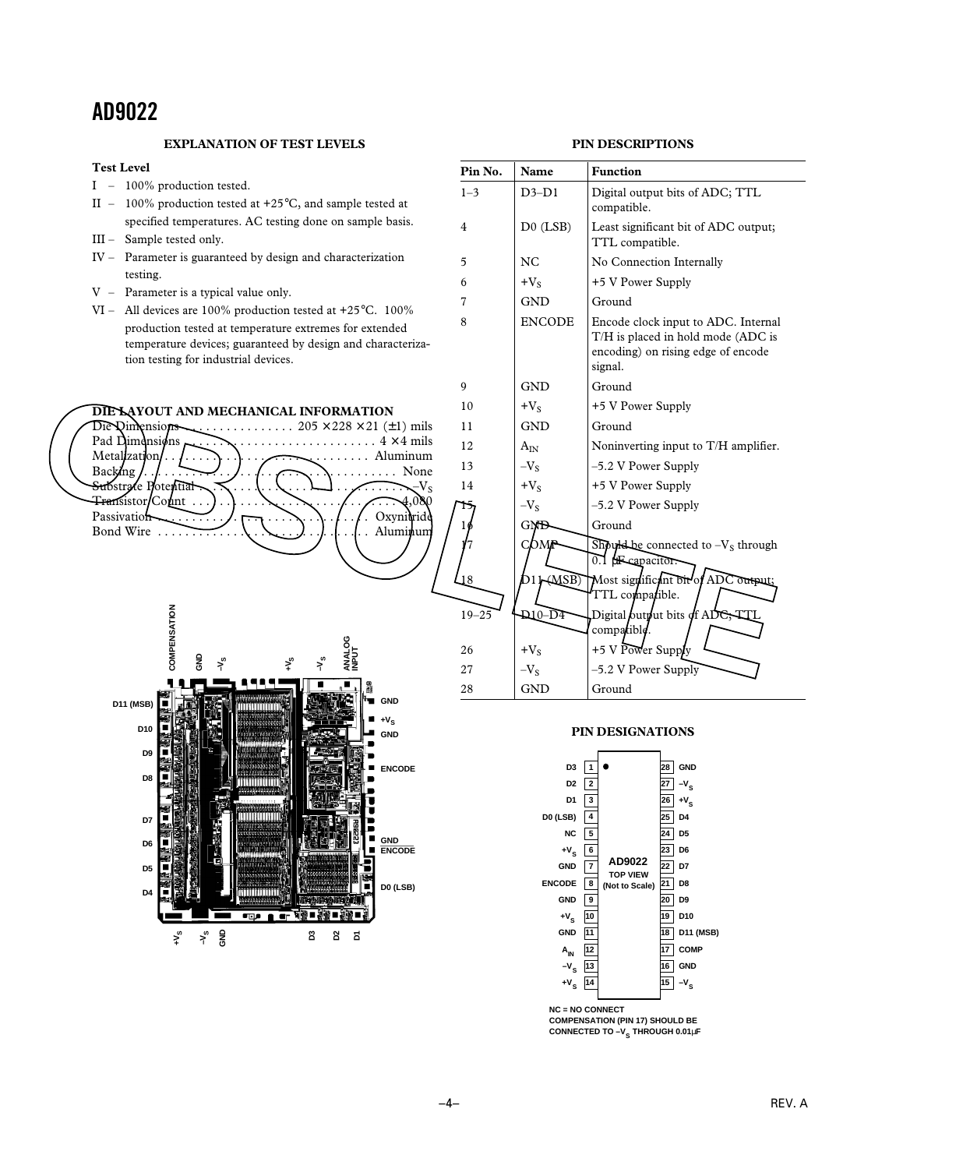#### **EXPLANATION OF TEST LEVELS**

### **PIN DESCRIPTIONS**





#### **PIN DESIGNATIONS**



**COMPENSATION (PIN 17) SHOULD BE CONNECTED TO -V<sub>S</sub> THROUGH 0.01µF**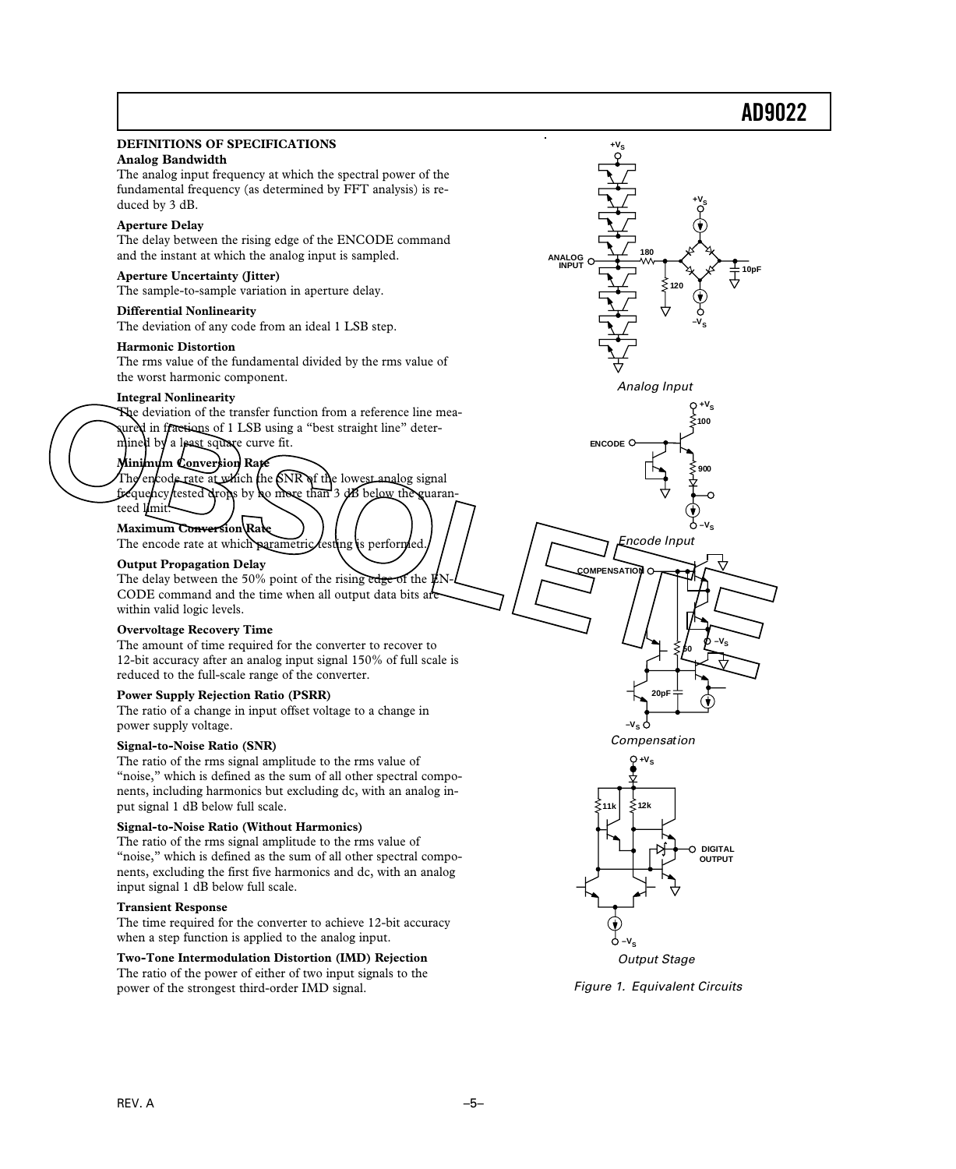#### **DEFINITIONS OF SPECIFICATIONS Analog Bandwidth** The analog input frequency at which the spectral power of the fundamental frequency (as determined by FFT analysis) is reduced by 3 dB. **Aperture Delay** The delay between the rising edge of the ENCODE command and the instant at which the analog input is sampled. **Aperture Uncertainty (Jitter)** The sample-to-sample variation in aperture delay. **Differential Nonlinearity** The deviation of any code from an ideal 1 LSB step. **Harmonic Distortion** The rms value of the fundamental divided by the rms value of the worst harmonic component. **Integral Nonlinearity** The deviation of the transfer function from a reference line meaured in fractions of 1 LSB using a "best straight line" determined by a least square curve fit. **Minimum Conversion Rate** The encode rate at which the SNR of the lowest analog signal frequency tested drops by no more than 3 dB below the guaranteed limit. **Maximum Conversion Rate** The encode rate at which parametric testing is performed. **Output Propagation Delay** The delay between the 50% point of the rising edge of the  $E$ CODE command and the time when all output data bits ar within valid logic levels. **Overvoltage Recovery Time** The amount of time required for the converter to recover to 12-bit accuracy after an analog input signal 150% of full scale is reduced to the full-scale range of the converter. **Power Supply Rejection Ratio (PSRR)** The ratio of a change in input offset voltage to a change in power supply voltage. **Signal-to-Noise Ratio (SNR)** The ratio of the rms signal amplitude to the rms value of "noise," which is defined as the sum of all other spectral components, including harmonics but excluding dc, with an analog input signal 1 dB below full scale. **Signal-to-Noise Ratio (Without Harmonics)** The ratio of the rms signal amplitude to the rms value of "noise," which is defined as the sum of all other spectral components, excluding the first five harmonics and dc, with an analog input signal 1 dB below full scale. **Transient Response** The time required for the converter to achieve 12-bit accuracy when a step function is applied to the analog input. **Two-Tone Intermodulation Distortion (IMD) Rejection** The ratio of the power of either of two input signals to the power of the strongest third-order IMD signal. Encode Input  $121$ **–VS**  Analog Input **ANALOG INPUT –VS +VS +VS 180 120**  10pl Output Stage **–VS 100 900**   $+V_S$ Compensation **20pF 50 PENSATIO**  $\mathbf{v}_\mathbf{e}$ **–VS ENCODE DIGITAL OUTPUT**   $Q + V_S$ Figure 1. Equivalent Circuits The deviation of the transfer function from a reference line mea-<br>
The deviation of the transfer function from a reference line mea-<br>
where in fracti<del>ons of 1.1SB</del> using a "best straight line" deter-<br>
minch by a less-squar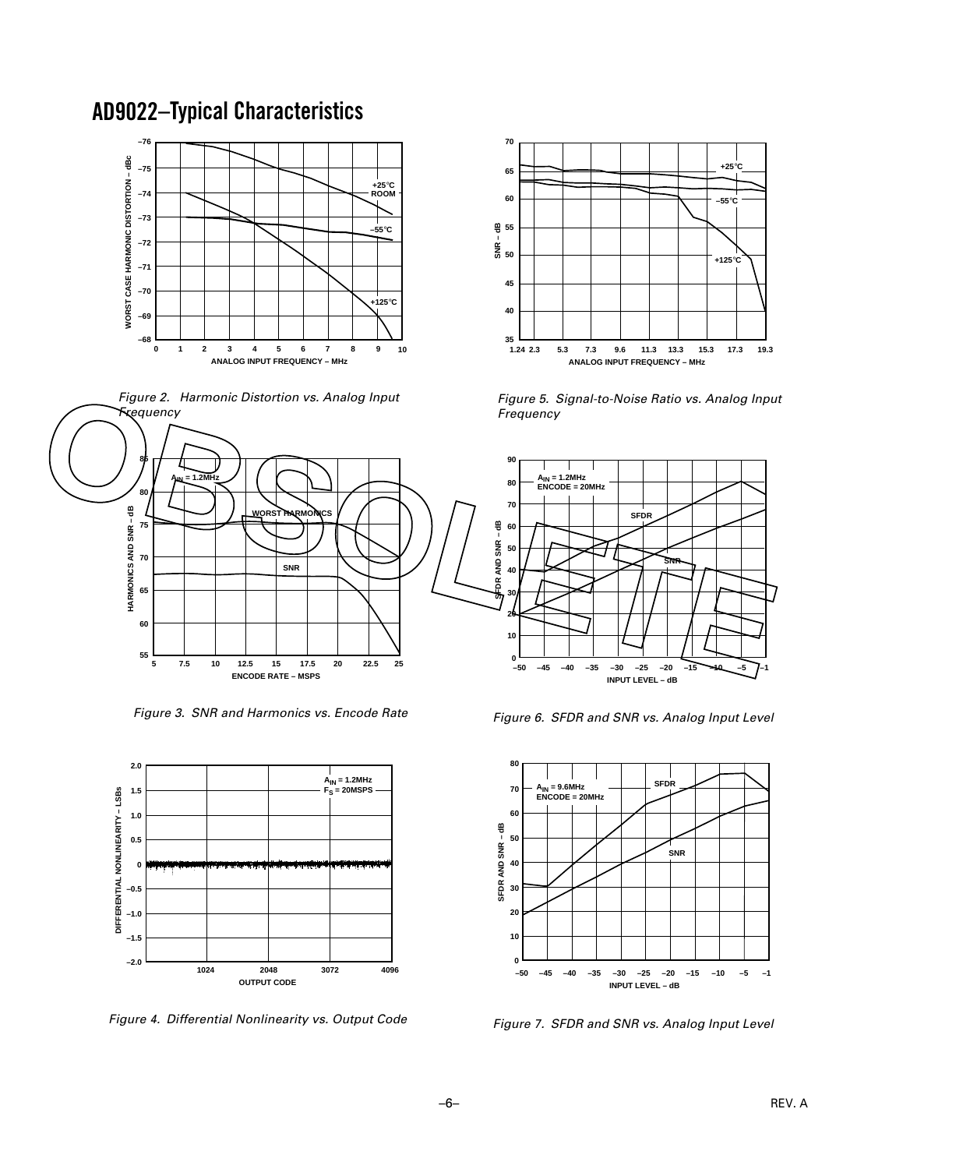### **AD9022 –Typical Characteristics**







**70**

**65**

**60**

**35**

**2.3 1.24**

**40**

**45**

g<br>8<br>50

**SNR – dB**

**55**

Figure 3. SNR and Harmonics vs. Encode Rate



Figure 4. Differential Nonlinearity vs. Output Code

Figure 6. SFDR and SNR vs. Analog Input Level

**5.3 11.3 7.3 9.6 13.3 15.3 17.3 ANALOG INPUT FREQUENCY – MHz**

Figure 5. Signal-to-Noise Ratio vs. Analog Input



Figure 7. SFDR and SNR vs. Analog Input Level

**19.3**

**–1**

**+25**°**C**

**–55**°**C**

**+125**°**C**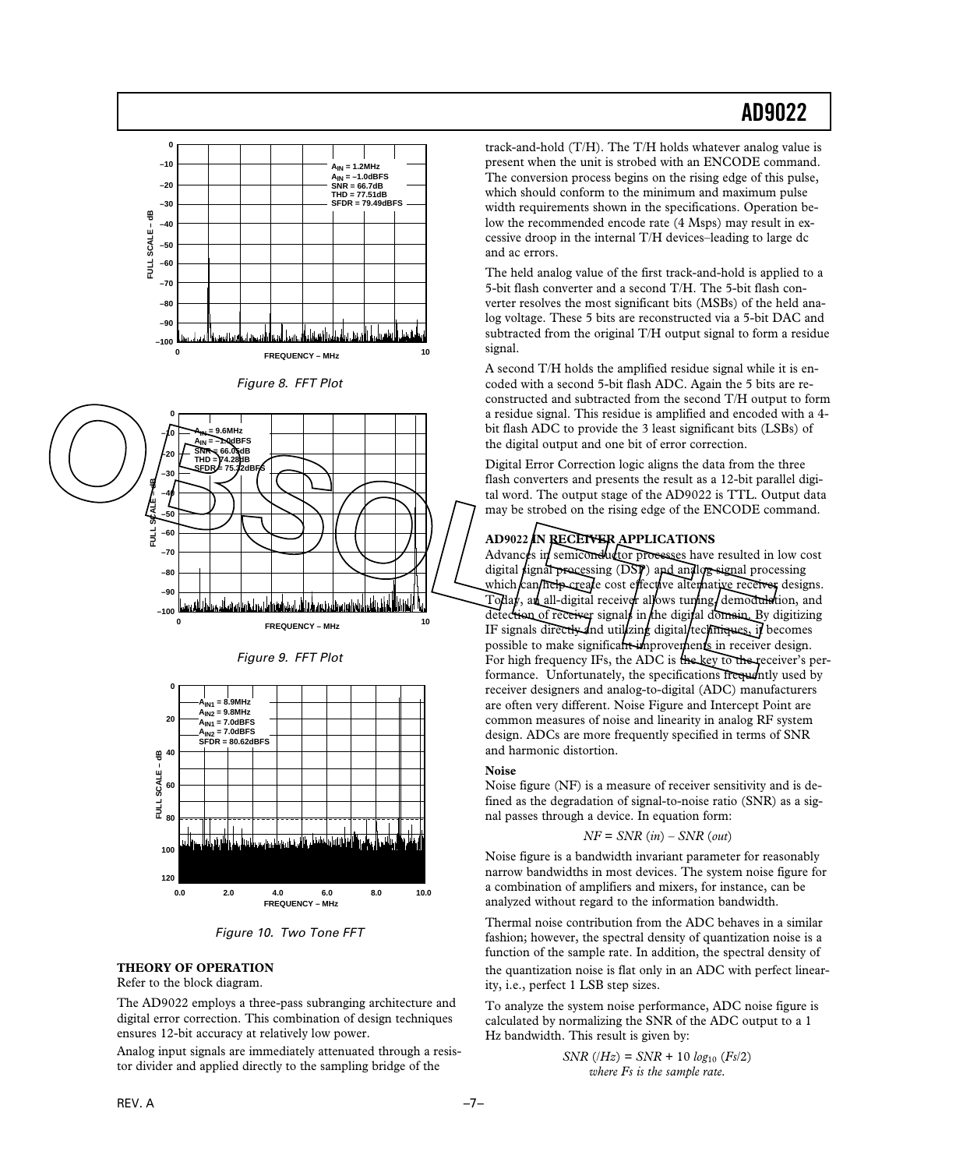











#### **THEORY OF OPERATION**

Refer to the block diagram.

The AD9022 employs a three-pass subranging architecture and digital error correction. This combination of design techniques ensures 12-bit accuracy at relatively low power.

Analog input signals are immediately attenuated through a resistor divider and applied directly to the sampling bridge of the

track-and-hold (T/H). The T/H holds whatever analog value is present when the unit is strobed with an ENCODE command. The conversion process begins on the rising edge of this pulse, which should conform to the minimum and maximum pulse width requirements shown in the specifications. Operation below the recommended encode rate (4 Msps) may result in excessive droop in the internal T/H devices–leading to large dc and ac errors.

The held analog value of the first track-and-hold is applied to a 5-bit flash converter and a second T/H. The 5-bit flash converter resolves the most significant bits (MSBs) of the held analog voltage. These 5 bits are reconstructed via a 5-bit DAC and subtracted from the original T/H output signal to form a residue signal.

A second T/H holds the amplified residue signal while it is encoded with a second 5-bit flash ADC. Again the 5 bits are reconstructed and subtracted from the second T/H output to form a residue signal. This residue is amplified and encoded with a 4 bit flash ADC to provide the 3 least significant bits (LSBs) of the digital output and one bit of error correction.

Digital Error Correction logic aligns the data from the three flash converters and presents the result as a 12-bit parallel digital word. The output stage of the AD9022 is TTL. Output data may be strobed on the rising edge of the ENCODE command.

#### **AD9022 IN RECEIVER APPLICATIONS**

Advances in semiconductor processes have resulted in low cost digital signal processing (DSP) and analog signal processing which  $\ell$ an help create cost effective alternative receiver designs. Today, an all-digital receiver allows tuning, demodulation, and detection of receiver signals in the digital domain. By digitizing IF signals directly and utilizing digital recumiques, if becomes possible to make significant improvements in receiver design. For high frequency IFs, the ADC is the key to the receiver's performance. Unfortunately, the specifications frequently used by receiver designers and analog-to-digital (ADC) manufacturers are often very different. Noise Figure and Intercept Point are common measures of noise and linearity in analog RF system design. ADCs are more frequently specified in terms of SNR and harmonic distortion.

#### **Noise**

Noise figure (NF) is a measure of receiver sensitivity and is defined as the degradation of signal-to-noise ratio (SNR) as a signal passes through a device. In equation form:

#### *NF* = *SNR* (*in*) – *SNR* (*out*)

Noise figure is a bandwidth invariant parameter for reasonably narrow bandwidths in most devices. The system noise figure for a combination of amplifiers and mixers, for instance, can be analyzed without regard to the information bandwidth.

Thermal noise contribution from the ADC behaves in a similar fashion; however, the spectral density of quantization noise is a function of the sample rate. In addition, the spectral density of the quantization noise is flat only in an ADC with perfect linearity, i.e., perfect 1 LSB step sizes.

To analyze the system noise performance, ADC noise figure is calculated by normalizing the SNR of the ADC output to a 1 Hz bandwidth. This result is given by:

$$
SNR (Hz) = SNR + 10 log_{10} (Fs/2)
$$
  
where Fs is the sample rate.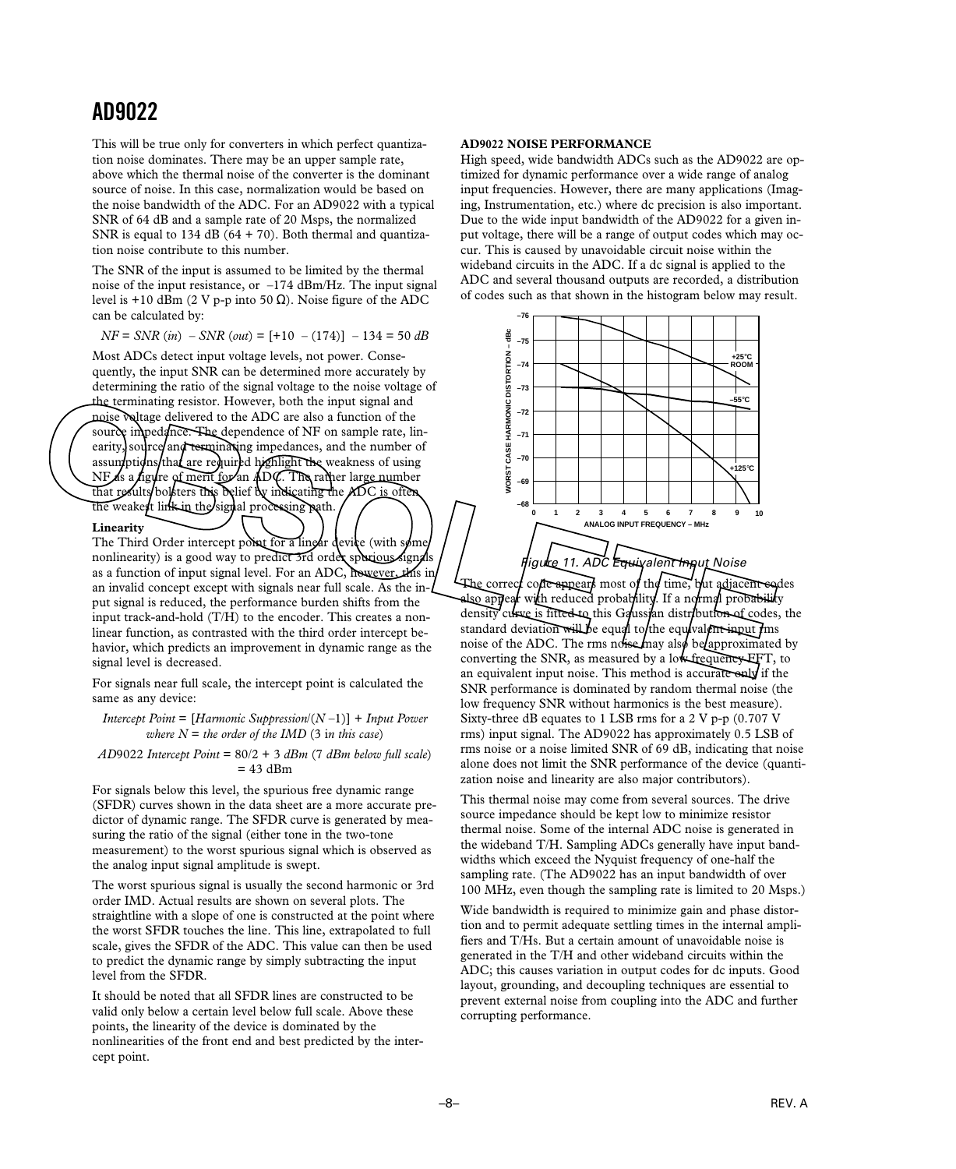This will be true only for converters in which perfect quantization noise dominates. There may be an upper sample rate, above which the thermal noise of the converter is the dominant source of noise. In this case, normalization would be based on the noise bandwidth of the ADC. For an AD9022 with a typical SNR of 64 dB and a sample rate of 20 Msps, the normalized SNR is equal to  $134$  dB ( $64 + 70$ ). Both thermal and quantization noise contribute to this number.

The SNR of the input is assumed to be limited by the thermal noise of the input resistance, or –174 dBm/Hz. The input signal level is +10 dBm (2 V p-p into 50  $\Omega$ ). Noise figure of the ADC can be calculated by:

*NF* = *SNR* (*in*) – *SNR* (*out*) = [+10 – (174)] – 134 = 50 *dB*

Most ADCs detect input voltage levels, not power. Consequently, the input SNR can be determined more accurately by determining the ratio of the signal voltage to the noise voltage of the terminating resistor. However, both the input signal and noise voltage delivered to the ADC are also a function of the source impedance. The dependence of NF on sample rate, linearity, source/and terminating impedances, and the number of assum ptions that are required highlight the weakness of using NF as a figure of merit for an ADC. The rather large number that results/bolsters this belief by indicating the ADC is often the weakest link in the signal processing path.

#### **Linearity**

The Third Order intercept point for a linear device (with some nonlinearity) is a good way to predict 3rd order spurious signals as a function of input signal level. For an ADC, however, this in an invalid concept except with signals near full scale. As the input signal is reduced, the performance burden shifts from the input track-and-hold (T/H) to the encoder. This creates a nonlinear function, as contrasted with the third order intercept behavior, which predicts an improvement in dynamic range as the signal level is decreased.

For signals near full scale, the intercept point is calculated the same as any device:

*Intercept Point* = [*Harmonic Suppression*/(*N* –1)] + *Input Power where*  $N =$  *the order of the IMD* (3 in this case)

*AD*9022 *Intercept Point* = 80/2 + 3 *dBm* (7 *dBm below full scale*)  $= 43$  dBm

For signals below this level, the spurious free dynamic range (SFDR) curves shown in the data sheet are a more accurate predictor of dynamic range. The SFDR curve is generated by measuring the ratio of the signal (either tone in the two-tone measurement) to the worst spurious signal which is observed as the analog input signal amplitude is swept.

The worst spurious signal is usually the second harmonic or 3rd order IMD. Actual results are shown on several plots. The straightline with a slope of one is constructed at the point where the worst SFDR touches the line. This line, extrapolated to full scale, gives the SFDR of the ADC. This value can then be used to predict the dynamic range by simply subtracting the input level from the SFDR.

It should be noted that all SFDR lines are constructed to be valid only below a certain level below full scale. Above these points, the linearity of the device is dominated by the nonlinearities of the front end and best predicted by the intercept point.

#### **AD9022 NOISE PERFORMANCE**

High speed, wide bandwidth ADCs such as the AD9022 are optimized for dynamic performance over a wide range of analog input frequencies. However, there are many applications (Imaging, Instrumentation, etc.) where dc precision is also important. Due to the wide input bandwidth of the AD9022 for a given input voltage, there will be a range of output codes which may occur. This is caused by unavoidable circuit noise within the wideband circuits in the ADC. If a dc signal is applied to the ADC and several thousand outputs are recorded, a distribution of codes such as that shown in the histogram below may result.



The correct code appears most of the time, but adjacent codes also appear with reduced probability. If a normal probability density curve is fitted to this Gaussian distribution of codes, the standard deviation will be equal to the equivalent input  $f$ ms noise of the ADC. The rms noise may also be approximated by converting the SNR, as measured by a low frequency FFT, to an equivalent input noise. This method is accurate only if the SNR performance is dominated by random thermal noise (the low frequency SNR without harmonics is the best measure). Sixty-three dB equates to 1 LSB rms for a 2 V p-p (0.707 V rms) input signal. The AD9022 has approximately 0.5 LSB of rms noise or a noise limited SNR of 69 dB, indicating that noise alone does not limit the SNR performance of the device (quantization noise and linearity are also major contributors).

This thermal noise may come from several sources. The drive source impedance should be kept low to minimize resistor thermal noise. Some of the internal ADC noise is generated in the wideband T/H. Sampling ADCs generally have input bandwidths which exceed the Nyquist frequency of one-half the sampling rate. (The AD9022 has an input bandwidth of over 100 MHz, even though the sampling rate is limited to 20 Msps.)

Wide bandwidth is required to minimize gain and phase distortion and to permit adequate settling times in the internal amplifiers and T/Hs. But a certain amount of unavoidable noise is generated in the T/H and other wideband circuits within the ADC; this causes variation in output codes for dc inputs. Good layout, grounding, and decoupling techniques are essential to prevent external noise from coupling into the ADC and further corrupting performance.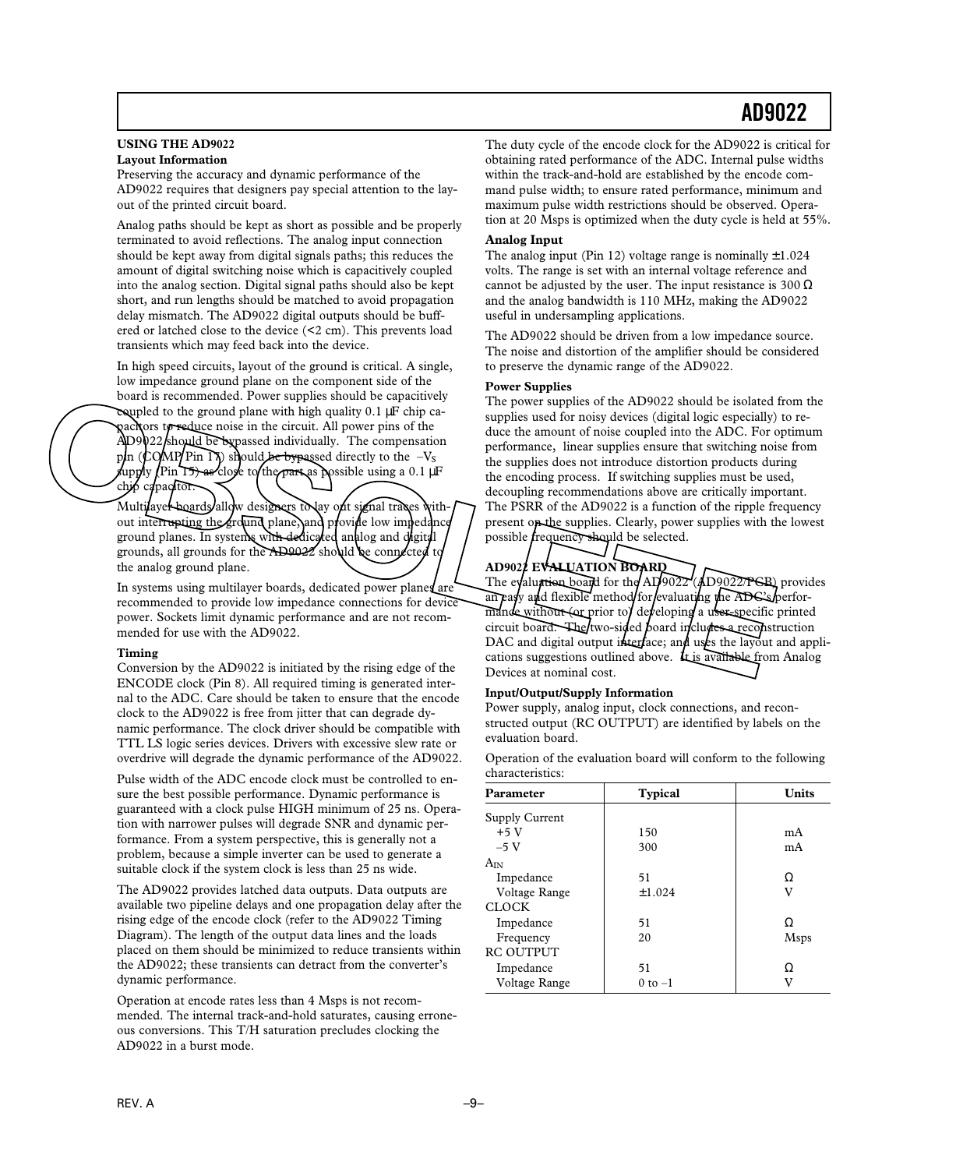#### **USING THE AD9022 Layout Information**

Preserving the accuracy and dynamic performance of the AD9022 requires that designers pay special attention to the layout of the printed circuit board.

Analog paths should be kept as short as possible and be properly terminated to avoid reflections. The analog input connection should be kept away from digital signals paths; this reduces the amount of digital switching noise which is capacitively coupled into the analog section. Digital signal paths should also be kept short, and run lengths should be matched to avoid propagation delay mismatch. The AD9022 digital outputs should be buffered or latched close to the device (<2 cm). This prevents load transients which may feed back into the device.

In high speed circuits, layout of the ground is critical. A single, low impedance ground plane on the component side of the board is recommended. Power supplies should be capacitively coupled to the ground plane with high quality  $0.1 \mu$ F chip capacitors to reduce noise in the circuit. All power pins of the  $\text{AD}9022$  should be bypassed individually. The compensation p $\ln$  (COMP/Pin 17) should be bypassed directly to the  $-V<sub>S</sub>$ upply (Pin 15) as close to the part as possible using a 0.1  $\mu$ F chip capacitor.

Multilayer boards allow designers to hay out signal traces without interrupting the ground plane, and provide low impedance ground planes. In systems with dedicated analog and digital grounds, all grounds for the AD9022 should be connected to the analog ground plane.

In systems using multilayer boards, dedicated power planes are recommended to provide low impedance connections for device power. Sockets limit dynamic performance and are not recommended for use with the AD9022.

#### **Timing**

Conversion by the AD9022 is initiated by the rising edge of the ENCODE clock (Pin 8). All required timing is generated internal to the ADC. Care should be taken to ensure that the encode clock to the AD9022 is free from jitter that can degrade dynamic performance. The clock driver should be compatible with TTL LS logic series devices. Drivers with excessive slew rate or overdrive will degrade the dynamic performance of the AD9022.

Pulse width of the ADC encode clock must be controlled to ensure the best possible performance. Dynamic performance is guaranteed with a clock pulse HIGH minimum of 25 ns. Operation with narrower pulses will degrade SNR and dynamic performance. From a system perspective, this is generally not a problem, because a simple inverter can be used to generate a suitable clock if the system clock is less than 25 ns wide.

The AD9022 provides latched data outputs. Data outputs are available two pipeline delays and one propagation delay after the rising edge of the encode clock (refer to the AD9022 Timing Diagram). The length of the output data lines and the loads placed on them should be minimized to reduce transients within the AD9022; these transients can detract from the converter's dynamic performance.

Operation at encode rates less than 4 Msps is not recommended. The internal track-and-hold saturates, causing erroneous conversions. This T/H saturation precludes clocking the AD9022 in a burst mode.

The duty cycle of the encode clock for the AD9022 is critical for obtaining rated performance of the ADC. Internal pulse widths within the track-and-hold are established by the encode command pulse width; to ensure rated performance, minimum and maximum pulse width restrictions should be observed. Operation at 20 Msps is optimized when the duty cycle is held at 55%.

#### **Analog Input**

The analog input (Pin 12) voltage range is nominally  $\pm 1.024$ volts. The range is set with an internal voltage reference and cannot be adjusted by the user. The input resistance is  $300 \Omega$ and the analog bandwidth is 110 MHz, making the AD9022 useful in undersampling applications.

The AD9022 should be driven from a low impedance source. The noise and distortion of the amplifier should be considered to preserve the dynamic range of the AD9022.

#### **Power Supplies**

The power supplies of the AD9022 should be isolated from the supplies used for noisy devices (digital logic especially) to reduce the amount of noise coupled into the ADC. For optimum performance, linear supplies ensure that switching noise from the supplies does not introduce distortion products during the encoding process. If switching supplies must be used, decoupling recommendations above are critically important. The PSRR of the AD9022 is a function of the ripple frequency present on the supplies. Clearly, power supplies with the lowest possible *frequency* should be selected. board is recommended. Power supplies should be capacity of the AD9022 should be isolated in the propose of the comments of the circuit. All power pins of the duce the amount of noise coupled into the ADC. For organization

### **AD9022 EVALUATION BOARD**

The evaluation board for the  $AD9022$  (AD9022/PCB) provides an easy and flexible method for evaluating the ADC's performande without (or prior to) developing a user-specific printed circuit board. The two-sided board includes a reconstruction DAC and digital output interface; and uses the layout and applications suggestions outlined above.  $\bf{t}_{\text{L}}$  is available from Analog Devices at nominal cost.

#### **Input/Output/Supply Information**

Power supply, analog input, clock connections, and reconstructed output (RC OUTPUT) are identified by labels on the evaluation board.

Operation of the evaluation board will conform to the following characteristics:

| Parameter        | <b>Typical</b> | <b>Units</b> |  |
|------------------|----------------|--------------|--|
| Supply Current   |                |              |  |
| $+5V$            | 150            | mA           |  |
| $-5V$            | 300            | mA           |  |
| $A_{IN}$         |                |              |  |
| Impedance        | 51             | Ω            |  |
| Voltage Range    | ±1.024         | v            |  |
| <b>CLOCK</b>     |                |              |  |
| Impedance        | 51             | Ω            |  |
| Frequency        | 20             | <b>Msps</b>  |  |
| <b>RC OUTPUT</b> |                |              |  |
| Impedance        | 51             | Ω            |  |
| Voltage Range    | $0$ to $-1$    | v            |  |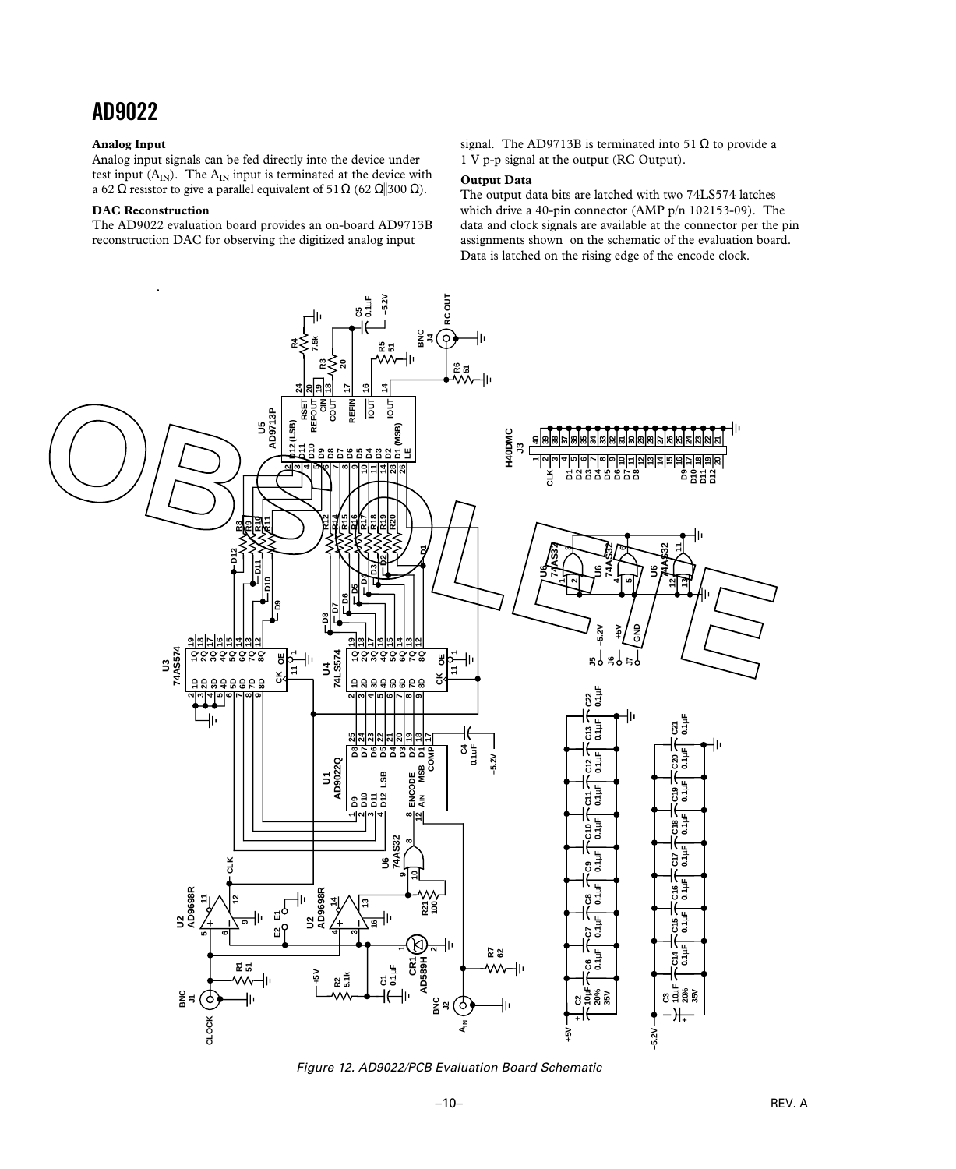#### **Analog Input**

Analog input signals can be fed directly into the device under test input  $(A_{IN})$ . The  $A_{IN}$  input is terminated at the device with a 62 Ω resistor to give a parallel equivalent of 51 Ω (62 Ω||300 Ω).

#### **DAC Reconstruction**

The AD9022 evaluation board provides an on-board AD9713B reconstruction DAC for observing the digitized analog input

signal. The AD9713B is terminated into 51  $\Omega$  to provide a 1 V p-p signal at the output (RC Output).

#### **Output Data**

The output data bits are latched with two 74LS574 latches which drive a 40-pin connector (AMP p/n 102153-09). The data and clock signals are available at the connector per the pin assignments shown on the schematic of the evaluation board. Data is latched on the rising edge of the encode clock.



Figure 12. AD9022/PCB Evaluation Board Schematic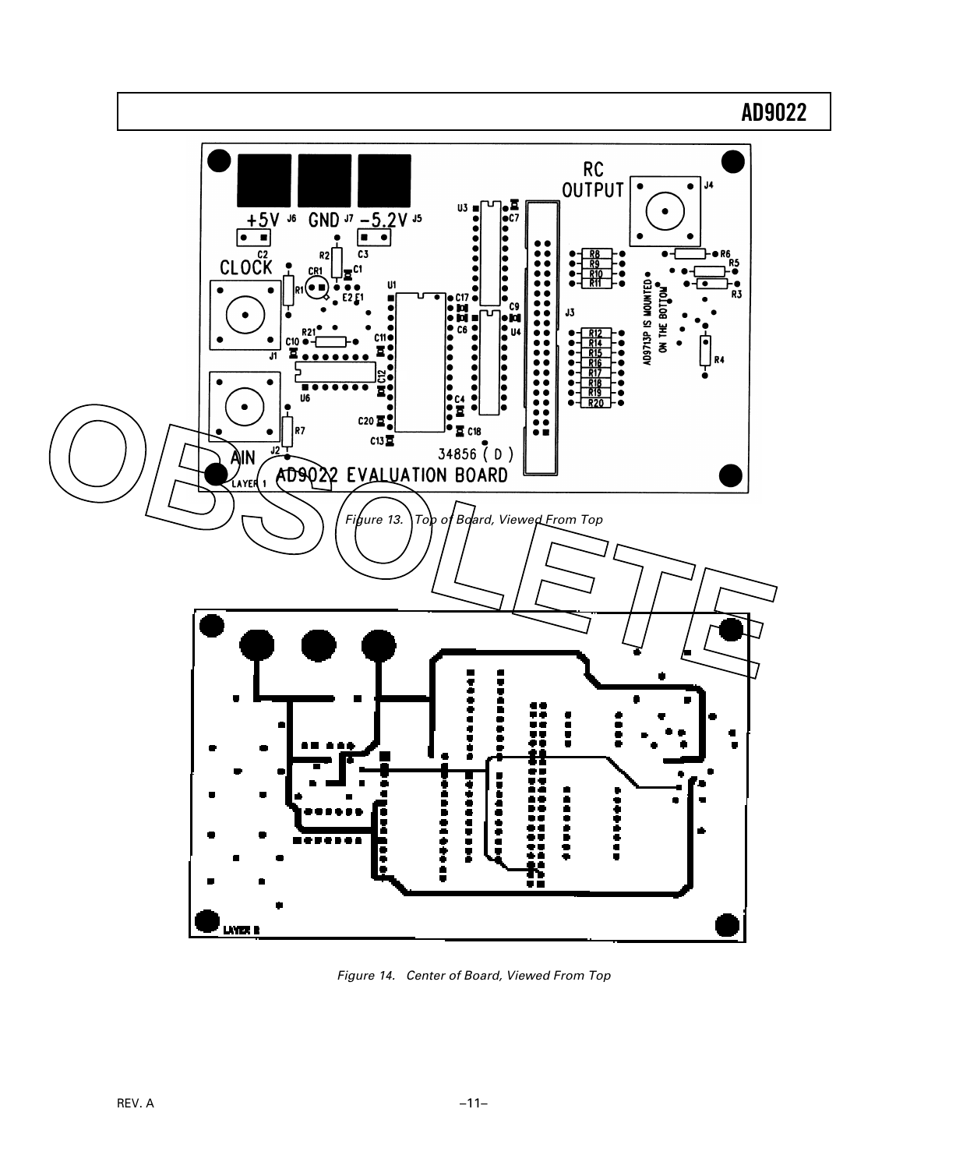

Figure 14. Center of Board, Viewed From Top